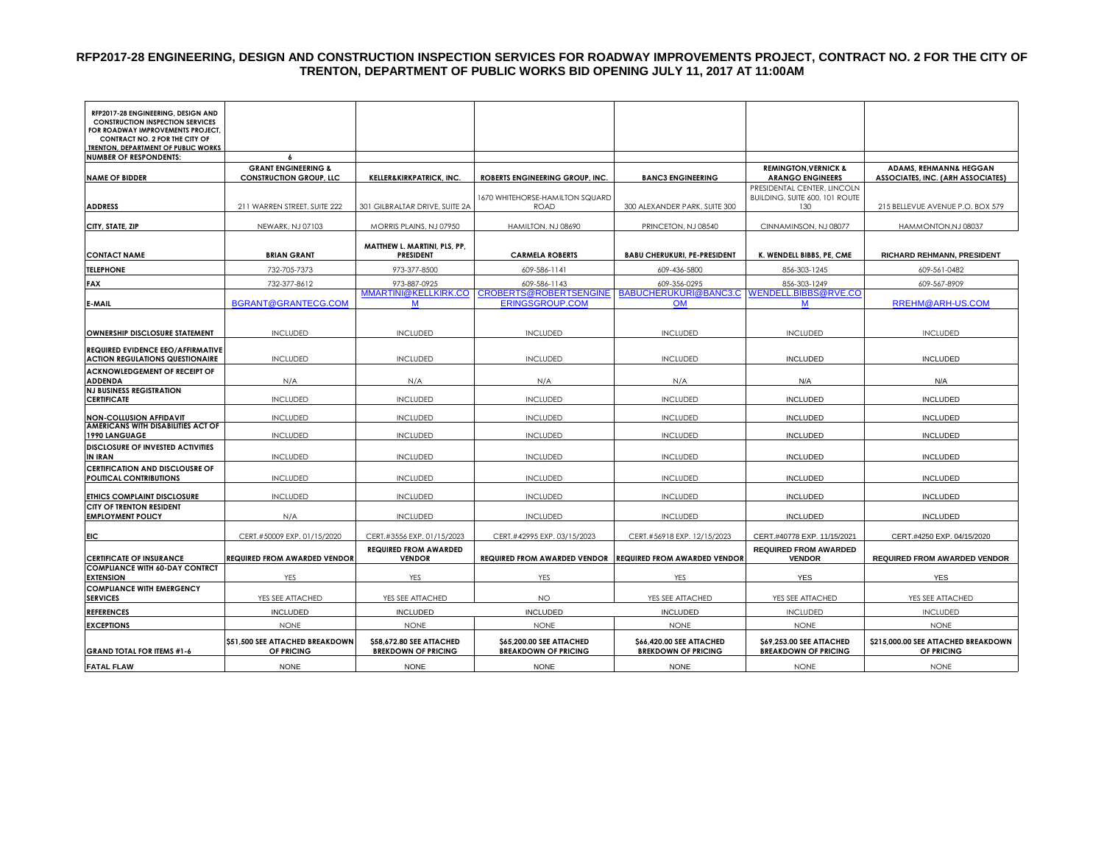## **RFP2017-28 ENGINEERING, DESIGN AND CONSTRUCTION INSPECTION SERVICES FOR ROADWAY IMPROVEMENTS PROJECT, CONTRACT NO. 2 FOR THE CITY OF TRENTON, DEPARTMENT OF PUBLIC WORKS BID OPENING JULY 11, 2017 AT 11:00AM**

| RFP2017-28 ENGINEERING, DESIGN AND<br><b>CONSTRUCTION INSPECTION SERVICES</b>                                     |                                               |                                                        |                                                             |                                                        |                                                                      |                                                   |
|-------------------------------------------------------------------------------------------------------------------|-----------------------------------------------|--------------------------------------------------------|-------------------------------------------------------------|--------------------------------------------------------|----------------------------------------------------------------------|---------------------------------------------------|
| FOR ROADWAY IMPROVEMENTS PROJECT,<br><b>CONTRACT NO. 2 FOR THE CITY OF</b><br>TRENTON, DEPARTMENT OF PUBLIC WORKS |                                               |                                                        |                                                             |                                                        |                                                                      |                                                   |
| <b>NUMBER OF RESPONDENTS:</b>                                                                                     |                                               |                                                        |                                                             |                                                        |                                                                      |                                                   |
|                                                                                                                   | <b>GRANT ENGINEERING &amp;</b>                |                                                        |                                                             |                                                        | <b>REMINGTON, VERNICK &amp;</b>                                      | ADAMS, REHMANN& HEGGAN                            |
| <b>NAME OF BIDDER</b>                                                                                             | <b>CONSTRUCTION GROUP, LLC</b>                | <b>KELLER&amp;KIRKPATRICK, INC.</b>                    | ROBERTS ENGINEERING GROUP, INC.                             | <b>BANC3 ENGINEERING</b>                               | <b>ARANGO ENGINEERS</b>                                              | ASSOCIATES, INC. (ARH ASSOCIATES)                 |
| <b>ADDRESS</b>                                                                                                    | 211 WARREN STREET, SUITE 222                  | 301 GILBRALTAR DRIVE, SUITE 2A                         | 1670 WHITEHORSE-HAMILTON SQUARD<br><b>ROAD</b>              | 300 ALEXANDER PARK, SUITE 300                          | PRESIDENTAL CENTER, LINCOLN<br>BUILDING, SUITE 600, 101 ROUTE<br>130 | 215 BELLEVUE AVENUE P.O. BOX 579                  |
| CITY, STATE, ZIP                                                                                                  | NEWARK, NJ 07103                              | MORRIS PLAINS, NJ 07950                                | HAMILTON, NJ 08690                                          | PRINCETON, NJ 08540                                    | CINNAMINSON, NJ 08077                                                | HAMMONTON, NJ 08037                               |
|                                                                                                                   |                                               |                                                        |                                                             |                                                        |                                                                      |                                                   |
| <b>CONTACT NAME</b>                                                                                               | <b>BRIAN GRANT</b>                            | MATTHEW L. MARTINI, PLS, PP,<br><b>PRESIDENT</b>       | <b>CARMELA ROBERTS</b>                                      | <b>BABU CHERUKURI, PE-PRESIDENT</b>                    | K. WENDELL BIBBS, PE, CME                                            | RICHARD REHMANN, PRESIDENT                        |
| <b>TELEPHONE</b>                                                                                                  | 732-705-7373                                  | 973-377-8500                                           | 609-586-1141                                                | 609-436-5800                                           | 856-303-1245                                                         | 609-561-0482                                      |
| <b>FAX</b>                                                                                                        | 732-377-8612                                  | 973-887-0925                                           | 609-586-1143                                                | 609-356-0295                                           | 856-303-1249                                                         | 609-567-8909                                      |
|                                                                                                                   |                                               | MMARTINI@KELLKIRK.CO                                   | CROBERTS@ROBERTSENGINE                                      | BABUCHERUKURI@BANC3.C                                  | WENDELL.BIBBS@RVE.CO                                                 |                                                   |
| E-MAIL                                                                                                            | BGRANT@GRANTECG.COM                           | M                                                      | <b>ERINGSGROUP.COM</b>                                      | <b>OM</b>                                              | M                                                                    | RREHM@ARH-US.COM                                  |
|                                                                                                                   |                                               |                                                        |                                                             |                                                        |                                                                      |                                                   |
| OWNERSHIP DISCLOSURE STATEMENT                                                                                    | <b>INCLUDED</b>                               | <b>INCLUDED</b>                                        | <b>INCLUDED</b>                                             | <b>INCLUDED</b>                                        | <b>INCLUDED</b>                                                      | <b>INCLUDED</b>                                   |
| REQUIRED EVIDENCE EEO/AFFIRMATIVE<br><b>ACTION REGULATIONS QUESTIONAIRE</b>                                       | <b>INCLUDED</b>                               | <b>INCLUDED</b>                                        | <b>INCLUDED</b>                                             | <b>INCLUDED</b>                                        | <b>INCLUDED</b>                                                      | <b>INCLUDED</b>                                   |
| ACKNOWLEDGEMENT OF RECEIPT OF<br><b>ADDENDA</b>                                                                   | N/A                                           | N/A                                                    | N/A                                                         | N/A                                                    | N/A                                                                  | N/A                                               |
| <b>NJ BUSINESS REGISTRATION</b><br><b>CERTIFICATE</b>                                                             | <b>INCLUDED</b>                               | <b>INCLUDED</b>                                        | <b>INCLUDED</b>                                             | <b>INCLUDED</b>                                        | <b>INCLUDED</b>                                                      | <b>INCLUDED</b>                                   |
|                                                                                                                   |                                               |                                                        |                                                             |                                                        |                                                                      |                                                   |
| <b>NON-COLLUSION AFFIDAVIT</b><br>AMERICANS WITH DISABILITIES ACT OF                                              | <b>INCLUDED</b>                               | <b>INCLUDED</b>                                        | <b>INCLUDED</b>                                             | <b>INCLUDED</b>                                        | <b>INCLUDED</b>                                                      | <b>INCLUDED</b>                                   |
| 1990 LANGUAGE                                                                                                     | <b>INCLUDED</b>                               | <b>INCLUDED</b>                                        | <b>INCLUDED</b>                                             | <b>INCLUDED</b>                                        | <b>INCLUDED</b>                                                      | <b>INCLUDED</b>                                   |
| DISCLOSURE OF INVESTED ACTIVITIES<br><b>IN IRAN</b>                                                               | <b>INCLUDED</b>                               | <b>INCLUDED</b>                                        | <b>INCLUDED</b>                                             | <b>INCLUDED</b>                                        | <b>INCLUDED</b>                                                      | <b>INCLUDED</b>                                   |
| <b>CERTIFICATION AND DISCLOUSRE OF</b><br>POLITICAL CONTRIBUTIONS                                                 | <b>INCLUDED</b>                               | <b>INCLUDED</b>                                        | <b>INCLUDED</b>                                             | <b>INCLUDED</b>                                        | <b>INCLUDED</b>                                                      | <b>INCLUDED</b>                                   |
| ETHICS COMPLAINT DISCLOSURE                                                                                       | <b>INCLUDED</b>                               | <b>INCLUDED</b>                                        | <b>INCLUDED</b>                                             | <b>INCLUDED</b>                                        | <b>INCLUDED</b>                                                      | <b>INCLUDED</b>                                   |
| <b>CITY OF TRENTON RESIDENT</b><br><b>EMPLOYMENT POLICY</b>                                                       | N/A                                           | <b>INCLUDED</b>                                        | <b>INCLUDED</b>                                             | <b>INCLUDED</b>                                        | <b>INCLUDED</b>                                                      | <b>INCLUDED</b>                                   |
|                                                                                                                   |                                               |                                                        |                                                             |                                                        |                                                                      |                                                   |
| <b>EIC</b>                                                                                                        | CERT.#50009 EXP. 01/15/2020                   | CERT.#3556 EXP. 01/15/2023                             | CERT.#42995 EXP. 03/15/2023                                 | CERT.#56918 EXP. 12/15/2023                            | CERT.#40778 EXP. 11/15/2021                                          | CERT.#4250 EXP. 04/15/2020                        |
| <b>CERTIFICATE OF INSURANCE</b>                                                                                   | <b>REQUIRED FROM AWARDED VENDOR</b>           | <b>REQUIRED FROM AWARDED</b><br><b>VENDOR</b>          | REQUIRED FROM AWARDED VENDOR   REQUIRED FROM AWARDED VENDOR |                                                        | <b>REQUIRED FROM AWARDED</b><br><b>VENDOR</b>                        | <b>REQUIRED FROM AWARDED VENDOR</b>               |
| <b>COMPLIANCE WITH 60-DAY CONTRCT</b>                                                                             |                                               |                                                        |                                                             |                                                        |                                                                      |                                                   |
| <b>EXTENSION</b>                                                                                                  | YES                                           | YES                                                    | YES                                                         | YES                                                    | <b>YES</b>                                                           | <b>YES</b>                                        |
| <b>COMPLIANCE WITH EMERGENCY</b><br><b>SERVICES</b>                                                               | YES SEE ATTACHED                              | YES SEE ATTACHED                                       | <b>NO</b>                                                   | YES SEE ATTACHED                                       | YES SEE ATTACHED                                                     | YES SEE ATTACHED                                  |
| <b>REFERENCES</b>                                                                                                 | <b>INCLUDED</b>                               | <b>INCLUDED</b>                                        | <b>INCLUDED</b>                                             | <b>INCLUDED</b>                                        | <b>INCLUDED</b>                                                      | <b>INCLUDED</b>                                   |
| <b>EXCEPTIONS</b>                                                                                                 | <b>NONE</b>                                   | <b>NONE</b>                                            | <b>NONE</b>                                                 | <b>NONE</b>                                            | <b>NONE</b>                                                          | <b>NONE</b>                                       |
| <b>GRAND TOTAL FOR ITEMS #1-6</b>                                                                                 | \$51,500 SEE ATTACHED BREAKDOWN<br>OF PRICING | \$58,672.80 SEE ATTACHED<br><b>BREKDOWN OF PRICING</b> | \$65,200.00 SEE ATTACHED<br><b>BREAKDOWN OF PRICING</b>     | \$66,420.00 SEE ATTACHED<br><b>BREKDOWN OF PRICING</b> | \$69,253.00 SEE ATTACHED<br><b>BREAKDOWN OF PRICING</b>              | \$215,000.00 SEE ATTACHED BREAKDOWN<br>OF PRICING |
| <b>FATAL FLAW</b>                                                                                                 | <b>NONE</b>                                   | <b>NONE</b>                                            | <b>NONE</b>                                                 | <b>NONE</b>                                            | <b>NONE</b>                                                          | <b>NONE</b>                                       |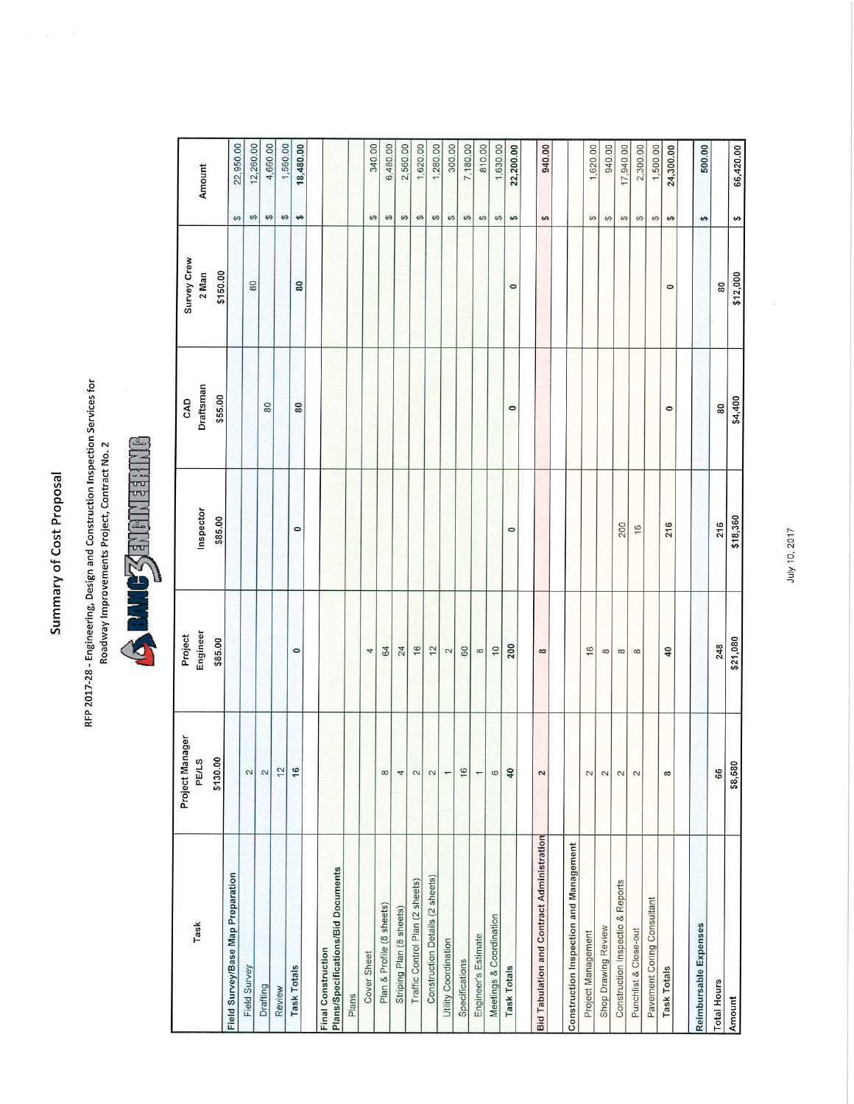Summary of Cost Proposal

RFP 2017-28 - Engineering, Design and Construction Inspection Services for<br>Roadway Improvements Project, Contract No. 2



| Task                                              | Project Manager         | Project        |           | CAD       | Survey Crew |                        |           |
|---------------------------------------------------|-------------------------|----------------|-----------|-----------|-------------|------------------------|-----------|
|                                                   | PE/LS                   | Engineer       | Inspector | Draftsman | 2 Man       |                        | Amount    |
|                                                   | \$130.00                | \$85.00        | \$85.00   | \$55.00   | \$150.00    |                        |           |
|                                                   |                         |                |           |           |             | $\boldsymbol{\varphi}$ | 22,950.00 |
|                                                   | $\mathbf{z}$            |                |           |           | 80          | $\theta$               | 12,260.00 |
|                                                   | 2                       |                |           | 80        |             | $\boldsymbol{\varphi}$ | 4,660.00  |
|                                                   | 12                      |                |           |           |             | $\boldsymbol{\varphi}$ | 1,560.00  |
|                                                   | 16                      | $\circ$        | $\circ$   | 80        | 80          | ↮                      | 18,480.00 |
| Plans/Specifications/Bid Documents                |                         |                |           |           |             |                        |           |
|                                                   |                         |                |           |           |             |                        |           |
|                                                   |                         | 4              |           |           |             | $\Theta$               | 340.00    |
|                                                   | $\infty$                | 64             |           |           |             | $\boldsymbol{\varphi}$ | 6,480.00  |
|                                                   | 4                       | 24             |           |           |             | $\boldsymbol{\varphi}$ | 2,560.00  |
|                                                   | 2                       | 16             |           |           |             | $\boldsymbol{\varphi}$ | 1,620.00  |
| Construction Details (2 sheets)                   | 2                       | $\overline{2}$ |           |           |             | $\boldsymbol{\varphi}$ | 1,280.00  |
|                                                   | $\overline{ }$          | $\overline{c}$ |           |           |             | $\boldsymbol{\varphi}$ | 300.00    |
|                                                   | 16                      | 60             |           |           |             | $\boldsymbol{\varphi}$ | 7,180.00  |
|                                                   | $\overline{ }$          | $\infty$       |           |           |             | $\boldsymbol{\varphi}$ | 810.00    |
|                                                   | $\circ$                 | $\overline{C}$ |           |           |             | $\boldsymbol{\varphi}$ | 1,630.00  |
|                                                   | 40                      | 200            | $\circ$   | $\circ$   | $\circ$     | $\boldsymbol{\varphi}$ | 22,200.00 |
| <b>Bid Tabulation and Contract Administration</b> | 2                       | $\infty$       |           |           |             | $\boldsymbol{\varphi}$ | 940.00    |
| Construction Inspection and Management            |                         |                |           |           |             |                        |           |
|                                                   | 2                       | 16             |           |           |             | $\boldsymbol{\varphi}$ | 1,620.00  |
|                                                   | $\sim$                  | $\infty$       |           |           |             | $\theta$               | 940.00    |
| Construction Inspectio & Reports                  | $\overline{c}$          | $\infty$       | 200       |           |             | $\boldsymbol{\varphi}$ | 17,940.00 |
|                                                   | $\overline{\mathbf{c}}$ | $\infty$       | 16        |           |             | $\Theta$               | 2,300.00  |
|                                                   |                         |                |           |           |             | $\boldsymbol{\varphi}$ | 1,500.00  |
|                                                   | $\infty$                | 40             | 216       | $\circ$   | $\circ$     | $\theta$               | 24,300.00 |
|                                                   |                         |                |           |           |             | $\boldsymbol{\varphi}$ | 500.00    |
|                                                   | 66                      | 248            | 216       | 80        | 80          |                        |           |
|                                                   | \$8,580                 | \$21,080       | \$18,360  | \$4,400   | \$12,000    | $\boldsymbol{\varphi}$ | 66,420.00 |

July 10, 2017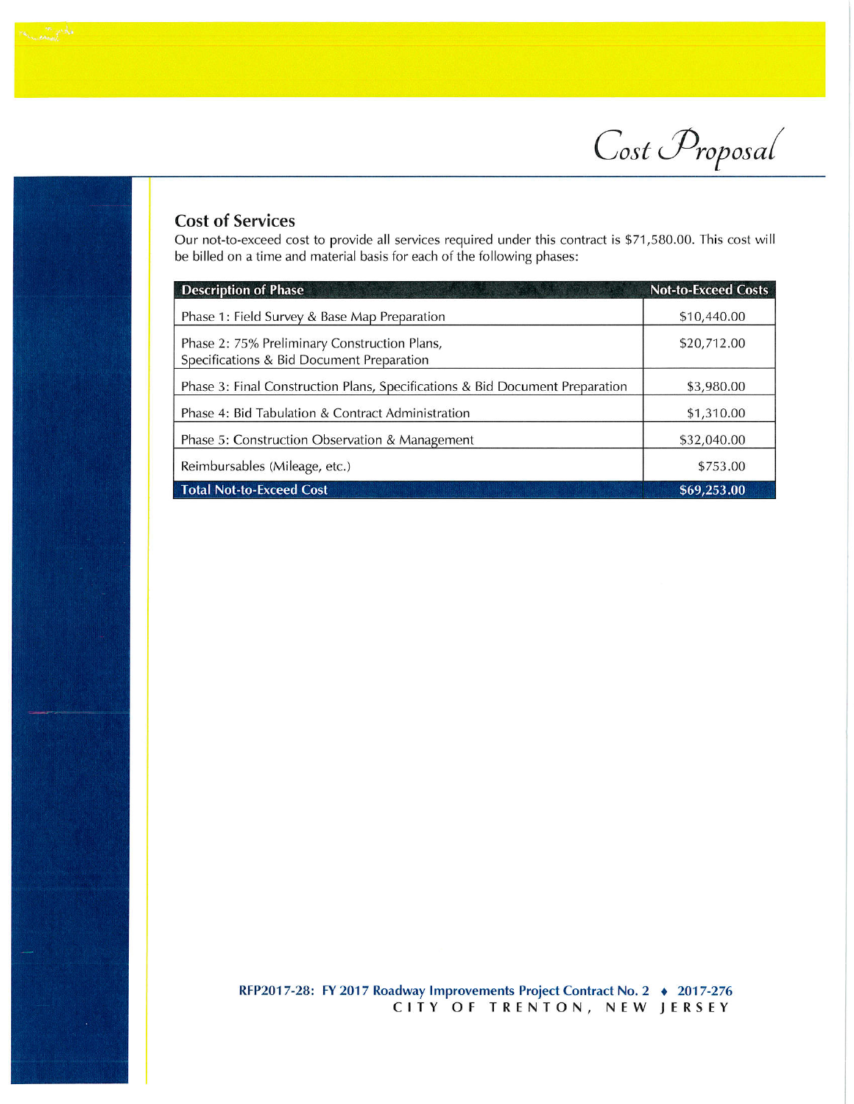Cost Proposal

## **Cost of Services**

Our not-to-exceed cost to provide all services required under this contract is \$71,580.00. This cost will be billed on a time and material basis for each of the following phases:

| <b>Description of Phase</b>                                                               | <b>Not-to-Exceed Costs</b> |
|-------------------------------------------------------------------------------------------|----------------------------|
| Phase 1: Field Survey & Base Map Preparation                                              | \$10,440.00                |
| Phase 2: 75% Preliminary Construction Plans,<br>Specifications & Bid Document Preparation | \$20,712.00                |
| Phase 3: Final Construction Plans, Specifications & Bid Document Preparation              | \$3,980.00                 |
| Phase 4: Bid Tabulation & Contract Administration                                         | \$1,310.00                 |
| Phase 5: Construction Observation & Management                                            | \$32,040.00                |
| Reimbursables (Mileage, etc.)                                                             | \$753.00                   |
| <b>Total Not-to-Exceed Cost</b>                                                           | \$69,253.00                |